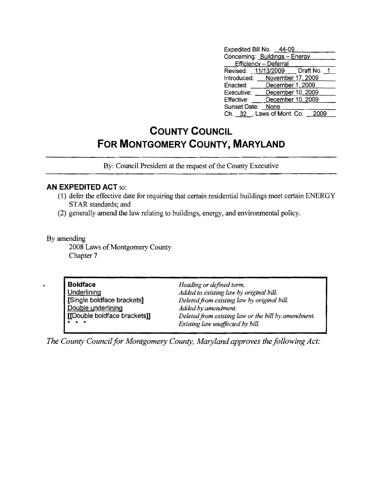| Expedited Bill No. 44-09       |                   |                                   |  |
|--------------------------------|-------------------|-----------------------------------|--|
| Concerning: Buildings - Energy |                   |                                   |  |
| Efficiency - Deferral          |                   |                                   |  |
|                                |                   | Revised: 11/13/2009   Draft No. 1 |  |
| Introduced: November 17, 2009  |                   |                                   |  |
| Enacted: <b>Alle</b>           | December 1, 2009  |                                   |  |
| Executive:                     | December 10, 2009 |                                   |  |
| Effective:                     | December 10, 2009 |                                   |  |
| Sunset Date:                   | None              |                                   |  |
| Ch. 32 , Laws of Mont. Co.     |                   |                                   |  |

## **COUNTY COUNCIL FOR MONTGOMERY COUNTY, MARYLAND**

By: Council President at the request of the County Executive

## **AN EXPEDITED ACT** to:

- (1) defer the effective date for requiring that certain residential buildings meet certain ENERGY STAR standards; and
- (2) generally amend the law relating to buildings, energy, and environmental policy,

By amending

2008 Laws of Montgomery County Chapter 7

| <b>Boldface</b>              | Heading or defined term.                            |
|------------------------------|-----------------------------------------------------|
| <b>Underlining</b>           | Added to existing law by original bill.             |
| [Single boldface brackets]   | Deleted from existing law by original bill.         |
| Double underlining           | Added by amendment.                                 |
| [[Double boldface brackets]] | Deleted from existing law or the bill by amendment. |
| <b><i>B</i> R R</b>          | Existing law unaffected by bill.                    |

*The County Council for Montgomery County, Maryland approves the following Act:*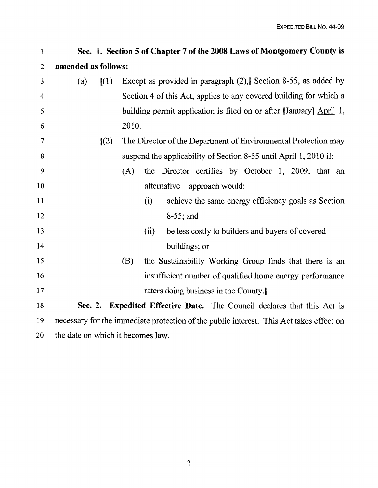$\bar{z}$ 

| 1              |                                   | Sec. 1. Section 5 of Chapter 7 of the 2008 Laws of Montgomery County is                 |  |
|----------------|-----------------------------------|-----------------------------------------------------------------------------------------|--|
| $\overline{c}$ | amended as follows:               |                                                                                         |  |
| 3              | (a)<br>$\left[ (1) \right]$       | Except as provided in paragraph $(2)$ , Section 8-55, as added by                       |  |
| 4              |                                   | Section 4 of this Act, applies to any covered building for which a                      |  |
| 5              |                                   | building permit application is filed on or after [January] April 1,                     |  |
| 6              |                                   | 2010.                                                                                   |  |
| 7              | $\left[\frac{2}{2}\right]$        | The Director of the Department of Environmental Protection may                          |  |
| 8              |                                   | suspend the applicability of Section 8-55 until April 1, 2010 if:                       |  |
| 9              |                                   | the Director certifies by October 1, 2009, that an<br>(A)                               |  |
| 10             |                                   | alternative<br>approach would:                                                          |  |
| 11             |                                   | achieve the same energy efficiency goals as Section<br>(i)                              |  |
| 12             |                                   | 8-55; and                                                                               |  |
| 13             |                                   | be less costly to builders and buyers of covered<br>(ii)                                |  |
| 14             |                                   | buildings; or                                                                           |  |
| 15             |                                   | (B)<br>the Sustainability Working Group finds that there is an                          |  |
| 16             |                                   | insufficient number of qualified home energy performance                                |  |
| 17             |                                   | raters doing business in the County.                                                    |  |
| 18             |                                   | Sec. 2. Expedited Effective Date. The Council declares that this Act is                 |  |
| 19             |                                   | necessary for the immediate protection of the public interest. This Act takes effect on |  |
| 20             | the date on which it becomes law. |                                                                                         |  |

 $\sim 100$ 

 $\sim 10^{-1}$